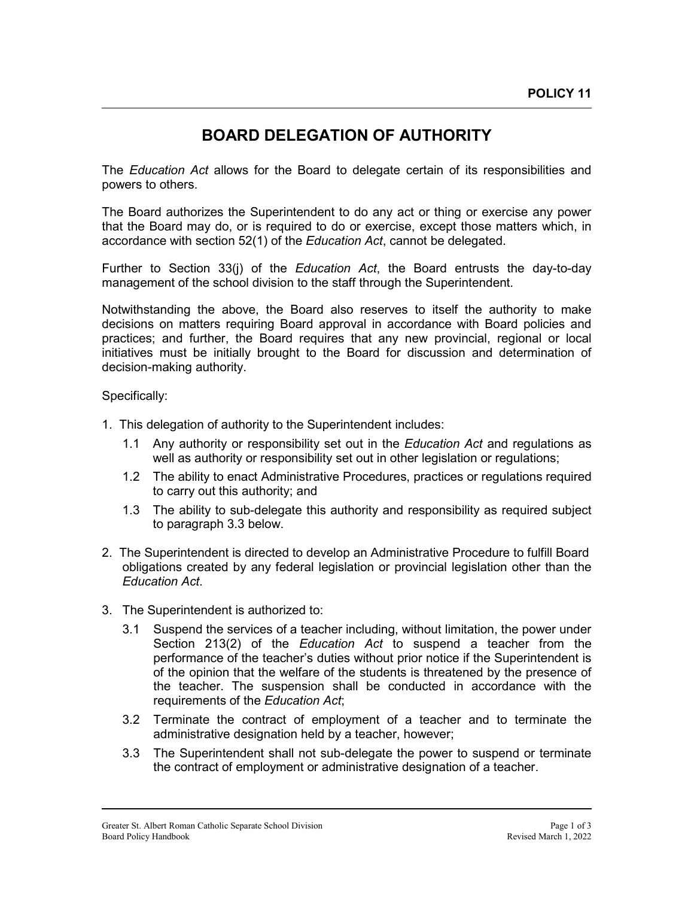## **BOARD DELEGATION OF AUTHORITY**

The *Education Act* allows for the Board to delegate certain of its responsibilities and powers to others.

The Board authorizes the Superintendent to do any act or thing or exercise any power that the Board may do, or is required to do or exercise, except those matters which, in accordance with section 52(1) of the *Education Act*, cannot be delegated.

Further to Section 33(j) of the *Education Act*, the Board entrusts the day-to-day management of the school division to the staff through the Superintendent.

Notwithstanding the above, the Board also reserves to itself the authority to make decisions on matters requiring Board approval in accordance with Board policies and practices; and further, the Board requires that any new provincial, regional or local initiatives must be initially brought to the Board for discussion and determination of decision-making authority.

Specifically:

- 1. This delegation of authority to the Superintendent includes:
	- 1.1 Any authority or responsibility set out in the *Education Act* and regulations as well as authority or responsibility set out in other legislation or regulations;
	- 1.2 The ability to enact Administrative Procedures, practices or regulations required to carry out this authority; and
	- 1.3 The ability to sub-delegate this authority and responsibility as required subject to paragraph 3.3 below.
- 2. The Superintendent is directed to develop an Administrative Procedure to fulfill Board obligations created by any federal legislation or provincial legislation other than the *Education Act*.
- 3. The Superintendent is authorized to:
	- 3.1 Suspend the services of a teacher including, without limitation, the power under Section 213(2) of the *Education Act* to suspend a teacher from the performance of the teacher's duties without prior notice if the Superintendent is of the opinion that the welfare of the students is threatened by the presence of the teacher. The suspension shall be conducted in accordance with the requirements of the *Education Act*;
	- 3.2 Terminate the contract of employment of a teacher and to terminate the administrative designation held by a teacher, however;
	- 3.3 The Superintendent shall not sub-delegate the power to suspend or terminate the contract of employment or administrative designation of a teacher.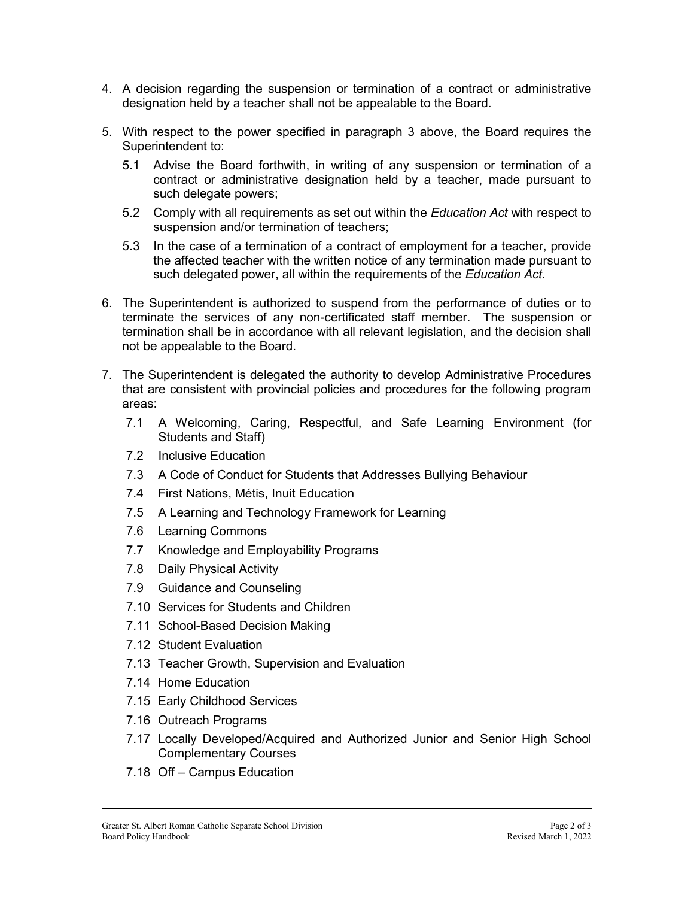- 4. A decision regarding the suspension or termination of a contract or administrative designation held by a teacher shall not be appealable to the Board.
- 5. With respect to the power specified in paragraph 3 above, the Board requires the Superintendent to:
	- 5.1 Advise the Board forthwith, in writing of any suspension or termination of a contract or administrative designation held by a teacher, made pursuant to such delegate powers;
	- 5.2 Comply with all requirements as set out within the *Education Act* with respect to suspension and/or termination of teachers;
	- 5.3 In the case of a termination of a contract of employment for a teacher, provide the affected teacher with the written notice of any termination made pursuant to such delegated power, all within the requirements of the *Education Act*.
- 6. The Superintendent is authorized to suspend from the performance of duties or to terminate the services of any non-certificated staff member. The suspension or termination shall be in accordance with all relevant legislation, and the decision shall not be appealable to the Board.
- 7. The Superintendent is delegated the authority to develop Administrative Procedures that are consistent with provincial policies and procedures for the following program areas:
	- 7.1 A Welcoming, Caring, Respectful, and Safe Learning Environment (for Students and Staff)
	- 7.2 Inclusive Education
	- 7.3 A Code of Conduct for Students that Addresses Bullying Behaviour
	- 7.4 First Nations, Métis, Inuit Education
	- 7.5 A Learning and Technology Framework for Learning
	- 7.6 Learning Commons
	- 7.7 Knowledge and Employability Programs
	- 7.8 Daily Physical Activity
	- 7.9 Guidance and Counseling
	- 7.10 Services for Students and Children
	- 7.11 School-Based Decision Making
	- 7.12 Student Evaluation
	- 7.13 Teacher Growth, Supervision and Evaluation
	- 7.14 Home Education
	- 7.15 Early Childhood Services
	- 7.16 Outreach Programs
	- 7.17 Locally Developed/Acquired and Authorized Junior and Senior High School Complementary Courses
	- 7.18 Off Campus Education